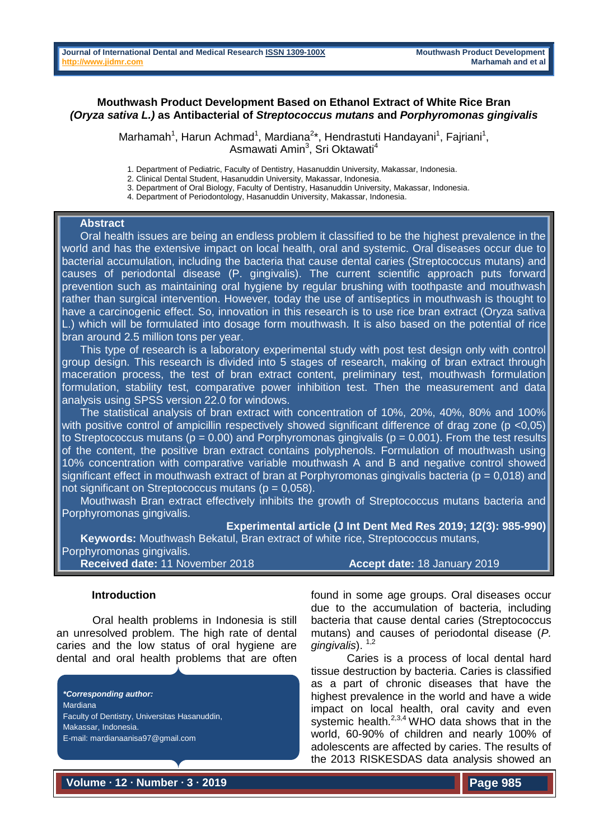# **Mouthwash Product Development Based on Ethanol Extract of White Rice Bran**  *(Oryza sativa L.)* **as Antibacterial of** *Streptococcus mutans* **and** *Porphyromonas gingivalis*

Marhamah<sup>1</sup>, Harun Achmad<sup>1</sup>, Mardiana<sup>2\*</sup>, Hendrastuti Handayani<sup>1</sup>, Fajriani<sup>1</sup>, Asmawati Amin<sup>3</sup>, Sri Oktawati<sup>4</sup>

- 1. Department of Pediatric, Faculty of Dentistry, Hasanuddin University, Makassar, Indonesia.
- 2. Clinical Dental Student, Hasanuddin University, Makassar, Indonesia.
- 3. Department of Oral Biology, Faculty of Dentistry, Hasanuddin University, Makassar, Indonesia.
- 4. Department of Periodontology, Hasanuddin University, Makassar, Indonesia.

#### **Abstract**

 Oral health issues are being an endless problem it classified to be the highest prevalence in the world and has the extensive impact on local health, oral and systemic. Oral diseases occur due to bacterial accumulation, including the bacteria that cause dental caries (Streptococcus mutans) and causes of periodontal disease (P. gingivalis). The current scientific approach puts forward prevention such as maintaining oral hygiene by regular brushing with toothpaste and mouthwash rather than surgical intervention. However, today the use of antiseptics in mouthwash is thought to have a carcinogenic effect. So, innovation in this research is to use rice bran extract (Oryza sativa L.) which will be formulated into dosage form mouthwash. It is also based on the potential of rice bran around 2.5 million tons per year.

 This type of research is a laboratory experimental study with post test design only with control group design. This research is divided into 5 stages of research, making of bran extract through maceration process, the test of bran extract content, preliminary test, mouthwash formulation formulation, stability test, comparative power inhibition test. Then the measurement and data analysis using SPSS version 22.0 for windows.

 The statistical analysis of bran extract with concentration of 10%, 20%, 40%, 80% and 100% with positive control of ampicillin respectively showed significant difference of drag zone (p <0,05) to Streptococcus mutans ( $p = 0.00$ ) and Porphyromonas gingivalis ( $p = 0.001$ ). From the test results of the content, the positive bran extract contains polyphenols. Formulation of mouthwash using 10% concentration with comparative variable mouthwash A and B and negative control showed significant effect in mouthwash extract of bran at Porphyromonas gingivalis bacteria ( $p = 0.018$ ) and not significant on Streptococcus mutans ( $p = 0.058$ ).

 Mouthwash Bran extract effectively inhibits the growth of Streptococcus mutans bacteria and Porphyromonas gingivalis.

**Experimental article (J Int Dent Med Res 2019; 12(3): 985-990)** 

 **Keywords:** Mouthwash Bekatul, Bran extract of white rice, Streptococcus mutans, Porphyromonas gingivalis.

**Received date:** 11 November 2018 **Accept date:** 18 January 2019

## **Introduction**

Oral health problems in Indonesia is still an unresolved problem. The high rate of dental caries and the low status of oral hygiene are dental and oral health problems that are often

*\*Corresponding author:* Mardiana Faculty of Dentistry, Universitas Hasanuddin, Makassar, Indonesia. E-mail: mardianaanisa97@gmail.com

found in some age groups. Oral diseases occur due to the accumulation of bacteria, including bacteria that cause dental caries (Streptococcus mutans) and causes of periodontal disease (*P.*  gingivalis).<sup>1,2</sup>

Caries is a process of local dental hard tissue destruction by bacteria. Caries is classified as a part of chronic diseases that have the highest prevalence in the world and have a wide impact on local health, oral cavity and even systemic health. $2,3,4$  WHO data shows that in the world, 60-90% of children and nearly 100% of adolescents are affected by caries. The results of the 2013 RISKESDAS data analysis showed an

**Volume ∙ 12 ∙ Number ∙ 3 ∙ 2019**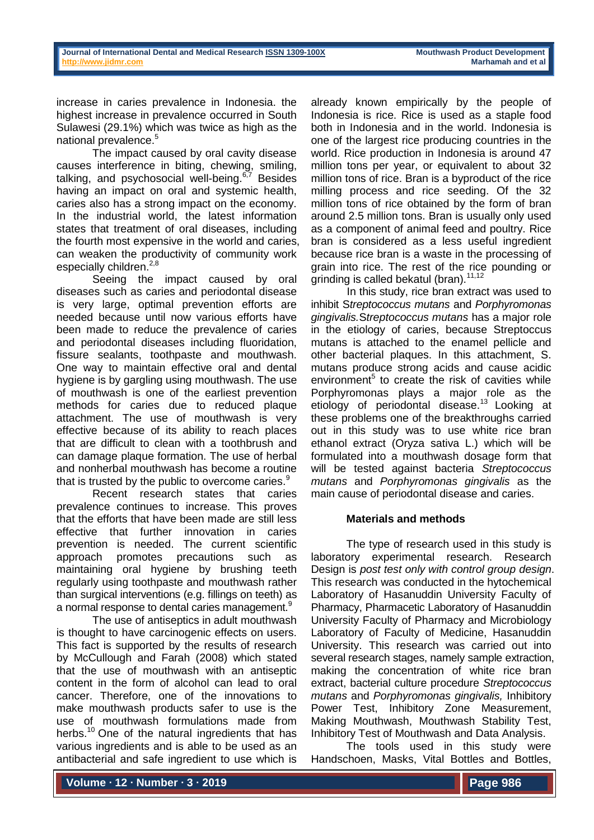increase in caries prevalence in Indonesia. the highest increase in prevalence occurred in South Sulawesi (29.1%) which was twice as high as the national prevalence. 5

The impact caused by oral cavity disease causes interference in biting, chewing, smiling, talking, and psychosocial well-being.<sup>6,7</sup> Besides having an impact on oral and systemic health, caries also has a strong impact on the economy. In the industrial world, the latest information states that treatment of oral diseases, including the fourth most expensive in the world and caries, can weaken the productivity of community work especially children. $^{2,8}$ 

Seeing the impact caused by oral diseases such as caries and periodontal disease is very large, optimal prevention efforts are needed because until now various efforts have been made to reduce the prevalence of caries and periodontal diseases including fluoridation, fissure sealants, toothpaste and mouthwash. One way to maintain effective oral and dental hygiene is by gargling using mouthwash. The use of mouthwash is one of the earliest prevention methods for caries due to reduced plaque attachment. The use of mouthwash is very effective because of its ability to reach places that are difficult to clean with a toothbrush and can damage plaque formation. The use of herbal and nonherbal mouthwash has become a routine that is trusted by the public to overcome caries.<sup>9</sup>

Recent research states that caries prevalence continues to increase. This proves that the efforts that have been made are still less effective that further innovation in caries prevention is needed. The current scientific approach promotes precautions such as maintaining oral hygiene by brushing teeth regularly using toothpaste and mouthwash rather than surgical interventions (e.g. fillings on teeth) as a normal response to dental caries management.<sup>9</sup>

The use of antiseptics in adult mouthwash is thought to have carcinogenic effects on users. This fact is supported by the results of research by McCullough and Farah (2008) which stated that the use of mouthwash with an antiseptic content in the form of alcohol can lead to oral cancer. Therefore, one of the innovations to make mouthwash products safer to use is the use of mouthwash formulations made from herbs.<sup>10</sup> One of the natural ingredients that has various ingredients and is able to be used as an antibacterial and safe ingredient to use which is

already known empirically by the people of Indonesia is rice. Rice is used as a staple food both in Indonesia and in the world. Indonesia is one of the largest rice producing countries in the world. Rice production in Indonesia is around 47 million tons per year, or equivalent to about 32 million tons of rice. Bran is a byproduct of the rice milling process and rice seeding. Of the 32 million tons of rice obtained by the form of bran around 2.5 million tons. Bran is usually only used as a component of animal feed and poultry. Rice bran is considered as a less useful ingredient because rice bran is a waste in the processing of grain into rice. The rest of the rice pounding or grinding is called bekatul (bran).<sup>11,12</sup>

In this study, rice bran extract was used to inhibit S*treptococcus mutans* and *Porphyromonas gingivalis.*S*treptococcus mutans* has a major role in the etiology of caries, because Streptoccus mutans is attached to the enamel pellicle and other bacterial plaques. In this attachment, S. mutans produce strong acids and cause acidic environment<sup>5</sup> to create the risk of cavities while Porphyromonas plays a major role as the etiology of periodontal disease.<sup>13</sup> Looking at these problems one of the breakthroughs carried out in this study was to use white rice bran ethanol extract (Oryza sativa L.) which will be formulated into a mouthwash dosage form that will be tested against bacteria *Streptococcus mutans* and *Porphyromonas gingivalis* as the main cause of periodontal disease and caries.

# **Materials and methods**

The type of research used in this study is laboratory experimental research. Research Design is *post test only with control group design*. This research was conducted in the hytochemical Laboratory of Hasanuddin University Faculty of Pharmacy, Pharmacetic Laboratory of Hasanuddin University Faculty of Pharmacy and Microbiology Laboratory of Faculty of Medicine, Hasanuddin University. This research was carried out into several research stages, namely sample extraction, making the concentration of white rice bran extract, bacterial culture procedure *Streptococcus mutans* and *Porphyromonas gingivalis,* Inhibitory Power Test, Inhibitory Zone Measurement, Making Mouthwash, Mouthwash Stability Test, Inhibitory Test of Mouthwash and Data Analysis.

The tools used in this study were Handschoen, Masks, Vital Bottles and Bottles,

**Volume ∙ 12 ∙ Number ∙ 3 ∙ 2019**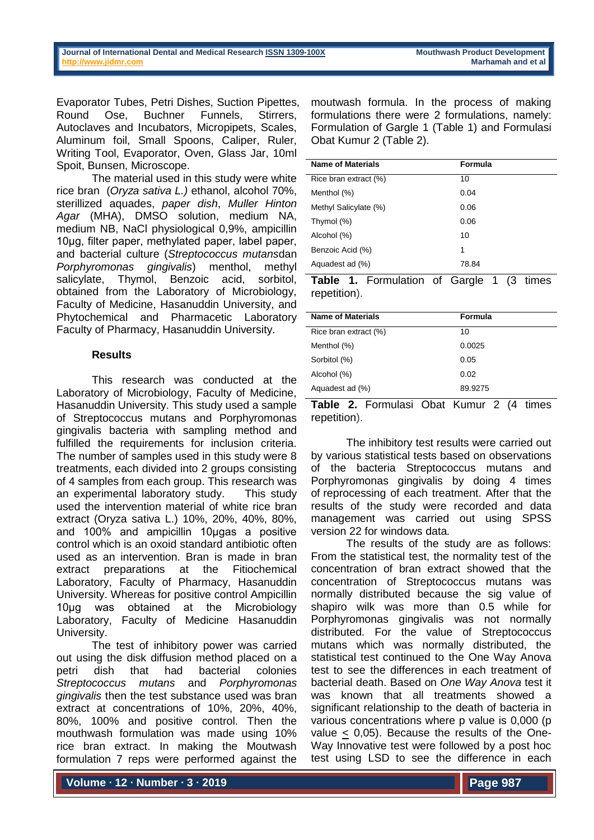Evaporator Tubes, Petri Dishes, Suction Pipettes, Round Ose, Buchner Funnels, Stirrers, Autoclaves and Incubators, Micropipets, Scales, Aluminum foil, Small Spoons, Caliper, Ruler, Writing Tool, Evaporator, Oven, Glass Jar, 10ml Spoit, Bunsen, Microscope.

The material used in this study were white rice bran (*Oryza sativa L.)* ethanol, alcohol 70%, sterillized aquades, *paper dish*, *Muller Hinton Agar* (MHA), DMSO solution, medium NA, medium NB, NaCl physiological 0,9%, ampicillin 10µg, filter paper, methylated paper, label paper, and bacterial culture (*Streptococcus mutans*dan *Porphyromonas gingivalis*) menthol, methyl salicylate, Thymol, Benzoic acid, sorbitol, obtained from the Laboratory of Microbiology, Faculty of Medicine, Hasanuddin University, and Phytochemical and Pharmacetic Laboratory Faculty of Pharmacy, Hasanuddin University.

## **Results**

This research was conducted at the Laboratory of Microbiology, Faculty of Medicine, Hasanuddin University. This study used a sample of Streptococcus mutans and Porphyromonas gingivalis bacteria with sampling method and fulfilled the requirements for inclusion criteria. The number of samples used in this study were 8 treatments, each divided into 2 groups consisting of 4 samples from each group. This research was an experimental laboratory study. This study used the intervention material of white rice bran extract (Oryza sativa L.) 10%, 20%, 40%, 80%, and 100% and ampicillin 10µgas a positive control which is an oxoid standard antibiotic often used as an intervention. Bran is made in bran extract preparations at the Fitiochemical Laboratory, Faculty of Pharmacy, Hasanuddin University. Whereas for positive control Ampicillin 10µg was obtained at the Microbiology Laboratory, Faculty of Medicine Hasanuddin University.

The test of inhibitory power was carried out using the disk diffusion method placed on a petri dish that had bacterial colonies *Streptococcus mutans* and *Porphyromonas gingivalis* then the test substance used was bran extract at concentrations of 10%, 20%, 40%, 80%, 100% and positive control. Then the mouthwash formulation was made using 10% rice bran extract. In making the Moutwash formulation 7 reps were performed against the

moutwash formula. In the process of making formulations there were 2 formulations, namely: Formulation of Gargle 1 (Table 1) and Formulasi Obat Kumur 2 (Table 2).

| <b>Name of Materials</b> | Formula |
|--------------------------|---------|
| Rice bran extract (%)    | 10      |
| Menthol (%)              | 0.04    |
| Methyl Salicylate (%)    | 0.06    |
| Thymol (%)               | 0.06    |
| Alcohol (%)              | 10      |
| Benzoic Acid (%)         | 1       |
| Aquadest ad (%)          | 78.84   |
|                          |         |

Table 1. Formulation of Gargle 1 (3 times repetition).

| <b>Name of Materials</b> | Formula |
|--------------------------|---------|
| Rice bran extract (%)    | 10      |
| Menthol (%)              | 0.0025  |
| Sorbitol (%)             | 0.05    |
| Alcohol (%)              | 0.02    |
| Aquadest ad (%)          | 89.9275 |

Table 2. Formulasi Obat Kumur 2 (4 times repetition).

The inhibitory test results were carried out by various statistical tests based on observations of the bacteria Streptococcus mutans and Porphyromonas gingivalis by doing 4 times of reprocessing of each treatment. After that the results of the study were recorded and data management was carried out using SPSS version 22 for windows data*.*

The results of the study are as follows: From the statistical test, the normality test of the concentration of bran extract showed that the concentration of Streptococcus mutans was normally distributed because the sig value of shapiro wilk was more than 0.5 while for Porphyromonas gingivalis was not normally distributed. For the value of Streptococcus mutans which was normally distributed, the statistical test continued to the One Way Anova test to see the differences in each treatment of bacterial death. Based on *One Way Anova* test it was known that all treatments showed a significant relationship to the death of bacteria in various concentrations where p value is 0,000 (p value < 0,05). Because the results of the One-Way Innovative test were followed by a post hoc test using LSD to see the difference in each

**Volume ∙ 12 ∙ Number ∙ 3 ∙ 2019**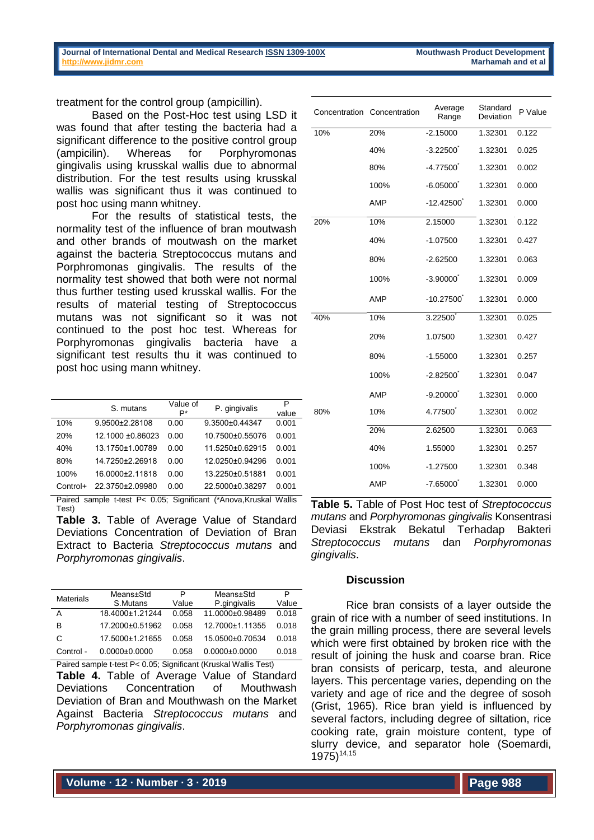treatment for the control group (ampicillin).

Based on the Post-Hoc test using LSD it was found that after testing the bacteria had a significant difference to the positive control group (ampicilin). Whereas for Porphyromonas gingivalis using krusskal wallis due to abnormal distribution. For the test results using krusskal wallis was significant thus it was continued to post hoc using mann whitney.

For the results of statistical tests, the normality test of the influence of bran moutwash and other brands of moutwash on the market against the bacteria Streptococcus mutans and Porphromonas gingivalis. The results of the normality test showed that both were not normal thus further testing used krusskal wallis. For the results of material testing of Streptococcus mutans was not significant so it was not continued to the post hoc test. Whereas for Porphyromonas gingivalis bacteria have a significant test results thu it was continued to post hoc using mann whitney.

|          | S. mutans        | Value of<br>P* | P. gingivalis   | Ρ<br>value |
|----------|------------------|----------------|-----------------|------------|
| 10%      | 9.9500±2.28108   | 0.00           | 9.3500±0.44347  | 0.001      |
| 20%      | 12.1000 ±0.86023 | 0.00           | 10.7500±0.55076 | 0.001      |
| 40%      | 13.1750±1.00789  | 0.00           | 11.5250±0.62915 | 0.001      |
| 80%      | 14.7250±2.26918  | 0.00           | 12.0250±0.94296 | 0.001      |
| 100%     | 16.0000±2.11818  | 0.00           | 13.2250±0.51881 | 0.001      |
| Control+ | 22.3750±2.09980  | 0.00           | 22.5000±0.38297 | 0.001      |

Paired sample t-test P< 0.05; Significant (\*Anova,Kruskal Wallis Test)

**Table 3.** Table of Average Value of Standard Deviations Concentration of Deviation of Bran Extract to Bacteria *Streptococcus mutans* and *Porphyromonas gingivalis*.

| <b>Materials</b> | Means±Std           | P     | Means±Std           | P     |
|------------------|---------------------|-------|---------------------|-------|
|                  | S.Mutans            | Value | P.gingivalis        | Value |
| А                | 18.4000±1.21244     | 0.058 | 11.0000±0.98489     | 0.018 |
| B                | 17 2000+0 51962     | 0.058 | 12.7000±1.11355     | 0.018 |
| C                | 17.5000±1.21655     | 0.058 | 15.0500±0.70534     | 0.018 |
| Control -        | $0.0000 \pm 0.0000$ | 0.058 | $0.0000 \pm 0.0000$ | 0.018 |

Paired sample t-test P< 0.05; Significant (Kruskal Wallis Test) **Table 4.** Table of Average Value of Standard Deviations Concentration of Mouthwash Deviation of Bran and Mouthwash on the Market Against Bacteria *Streptococcus mutans* and *Porphyromonas gingivalis*.

|     | Concentration Concentration | Average<br>Range | Standard<br>Deviation | P Value |
|-----|-----------------------------|------------------|-----------------------|---------|
| 10% | 20%                         | $-2.15000$       | 1.32301               | 0.122   |
|     | 40%                         | $-3.22500$       | 1.32301               | 0.025   |
|     | 80%                         | $-4.77500$       | 1.32301               | 0.002   |
|     | 100%                        | $-6.05000$       | 1.32301               | 0.000   |
|     | AMP                         | $-12.42500$      | 1.32301               | 0.000   |
| 20% | 10%                         | 2.15000          | 1.32301               | 0.122   |
|     | 40%                         | $-1.07500$       | 1.32301               | 0.427   |
|     | 80%                         | $-2.62500$       | 1.32301               | 0.063   |
|     | 100%                        | $-3.90000$       | 1.32301               | 0.009   |
|     | AMP                         | $-10.27500$      | 1.32301               | 0.000   |
| 40% | 10%                         | 3.22500          | 1.32301               | 0.025   |
|     | 20%                         | 1.07500          | 1.32301               | 0.427   |
|     | 80%                         | $-1.55000$       | 1.32301               | 0.257   |
|     | 100%                        | $-2.82500$       | 1.32301               | 0.047   |
|     | AMP                         | $-9.20000$       | 1.32301               | 0.000   |
| 80% | 10%                         | 4.77500          | 1.32301               | 0.002   |
|     | 20%                         | 2.62500          | 1.32301               | 0.063   |
|     | 40%                         | 1.55000          | 1.32301               | 0.257   |
|     | 100%                        | $-1.27500$       | 1.32301               | 0.348   |
|     | AMP                         | $-7.65000$       | 1.32301               | 0.000   |

**Table 5.** Table of Post Hoc test of *Streptococcus mutans* and *Porphyromonas gingivalis* Konsentrasi Deviasi Ekstrak Bekatul Terhadap Bakteri *Streptococcus mutans* dan *Porphyromonas gingivalis*.

## **Discussion**

Rice bran consists of a layer outside the grain of rice with a number of seed institutions. In the grain milling process, there are several levels which were first obtained by broken rice with the result of joining the husk and coarse bran. Rice bran consists of pericarp, testa, and aleurone layers. This percentage varies, depending on the variety and age of rice and the degree of sosoh (Grist, 1965). Rice bran yield is influenced by several factors, including degree of siltation, rice cooking rate, grain moisture content, type of slurry device, and separator hole (Soemardi,  $1975)^{14,15}$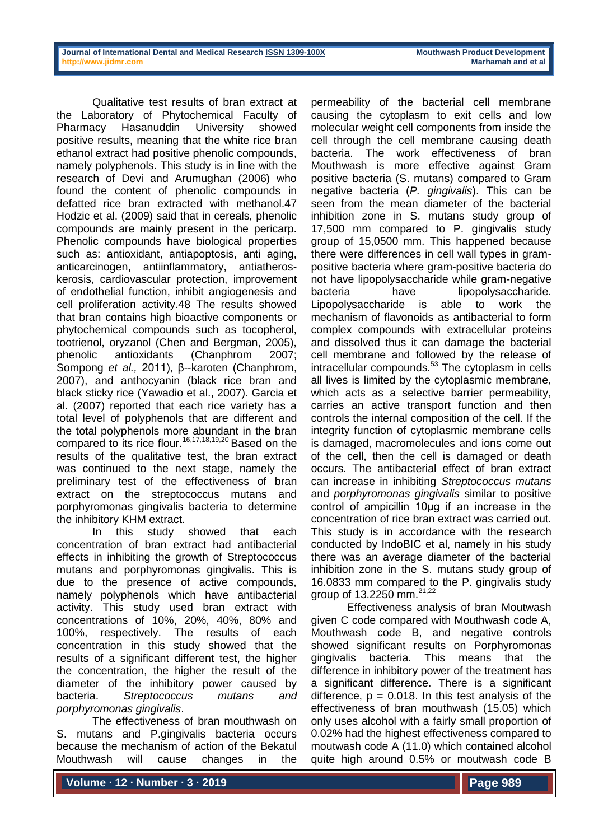Qualitative test results of bran extract at the Laboratory of Phytochemical Faculty of Pharmacy Hasanuddin University showed positive results, meaning that the white rice bran ethanol extract had positive phenolic compounds, namely polyphenols. This study is in line with the research of Devi and Arumughan (2006) who found the content of phenolic compounds in defatted rice bran extracted with methanol.47 Hodzic et al. (2009) said that in cereals, phenolic compounds are mainly present in the pericarp. Phenolic compounds have biological properties such as: antioxidant, antiapoptosis, anti aging, anticarcinogen, antiinflammatory, antiatheroskerosis, cardiovascular protection, improvement of endothelial function, inhibit angiogenesis and cell proliferation activity.48 The results showed that bran contains high bioactive components or phytochemical compounds such as tocopherol, tootrienol, oryzanol (Chen and Bergman, 2005), phenolic antioxidants (Chanphrom 2007; Sompong *et al.*, 2011), β--karoten (Chanphrom, 2007), and anthocyanin (black rice bran and black sticky rice (Yawadio et al., 2007). Garcia et al. (2007) reported that each rice variety has a total level of polyphenols that are different and the total polyphenols more abundant in the bran compared to its rice flour.<sup>16,17,18,19,20</sup> Based on the results of the qualitative test, the bran extract was continued to the next stage, namely the preliminary test of the effectiveness of bran extract on the streptococcus mutans and porphyromonas gingivalis bacteria to determine the inhibitory KHM extract.

In this study showed that each concentration of bran extract had antibacterial effects in inhibiting the growth of Streptococcus mutans and porphyromonas gingivalis. This is due to the presence of active compounds, namely polyphenols which have antibacterial activity. This study used bran extract with concentrations of 10%, 20%, 40%, 80% and 100%, respectively. The results of each concentration in this study showed that the results of a significant different test, the higher the concentration, the higher the result of the diameter of the inhibitory power caused by bacteria. *Streptococcus mutans and porphyromonas gingivalis*.

The effectiveness of bran mouthwash on S. mutans and P.gingivalis bacteria occurs because the mechanism of action of the Bekatul Mouthwash will cause changes in the permeability of the bacterial cell membrane causing the cytoplasm to exit cells and low molecular weight cell components from inside the cell through the cell membrane causing death bacteria. The work effectiveness of bran Mouthwash is more effective against Gram positive bacteria (S. mutans) compared to Gram negative bacteria (*P. gingivalis*). This can be seen from the mean diameter of the bacterial inhibition zone in S. mutans study group of 17,500 mm compared to P. gingivalis study group of 15,0500 mm. This happened because there were differences in cell wall types in grampositive bacteria where gram-positive bacteria do not have lipopolysaccharide while gram-negative bacteria have lipopolysaccharide. Lipopolysaccharide is able to work the mechanism of flavonoids as antibacterial to form complex compounds with extracellular proteins and dissolved thus it can damage the bacterial cell membrane and followed by the release of intracellular compounds.<sup>53</sup> The cytoplasm in cells all lives is limited by the cytoplasmic membrane, which acts as a selective barrier permeability, carries an active transport function and then controls the internal composition of the cell. If the integrity function of cytoplasmic membrane cells is damaged, macromolecules and ions come out of the cell, then the cell is damaged or death occurs. The antibacterial effect of bran extract can increase in inhibiting *Streptococcus mutans*  and *porphyromonas gingivalis* similar to positive control of ampicillin 10μg if an increase in the concentration of rice bran extract was carried out. This study is in accordance with the research conducted by IndoBIC et al, namely in his study there was an average diameter of the bacterial inhibition zone in the S. mutans study group of 16.0833 mm compared to the P. gingivalis study group of 13.2250 mm.21,22

Effectiveness analysis of bran Moutwash given C code compared with Mouthwash code A, Mouthwash code B, and negative controls showed significant results on Porphyromonas gingivalis bacteria. This means that the difference in inhibitory power of the treatment has a significant difference. There is a significant difference,  $p = 0.018$ . In this test analysis of the effectiveness of bran mouthwash (15.05) which only uses alcohol with a fairly small proportion of 0.02% had the highest effectiveness compared to moutwash code A (11.0) which contained alcohol quite high around 0.5% or moutwash code B